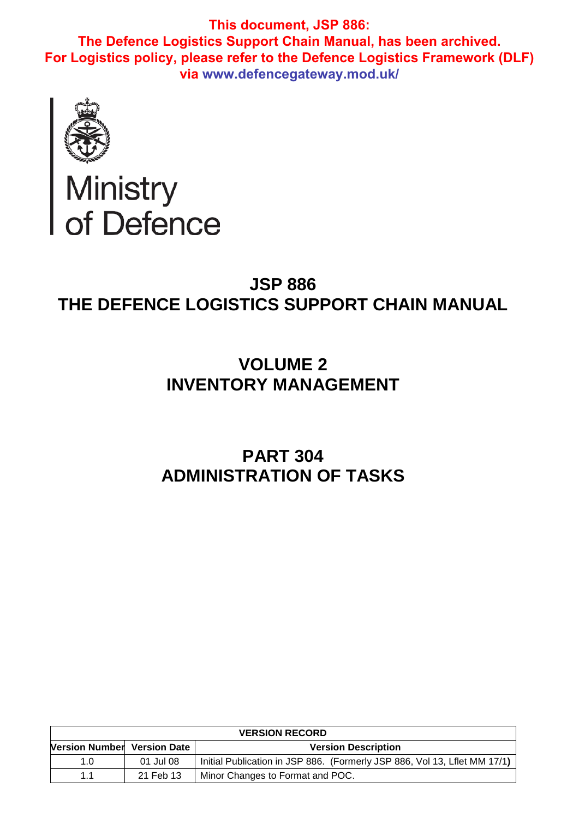

# Ministry<br>of Defence

# **JSP 886 THE DEFENCE LOGISTICS SUPPORT CHAIN MANUAL**

# **VOLUME 2 INVENTORY MANAGEMENT**

# **PART 304 ADMINISTRATION OF TASKS**

| <b>VERSION RECORD</b>       |           |                                                                           |  |
|-----------------------------|-----------|---------------------------------------------------------------------------|--|
| Version Number Version Date |           | <b>Version Description</b>                                                |  |
| 1.0                         | 01 Jul 08 | Initial Publication in JSP 886. (Formerly JSP 886, Vol 13, Lilet MM 17/1) |  |
| 11                          | 21 Feb 13 | Minor Changes to Format and POC.                                          |  |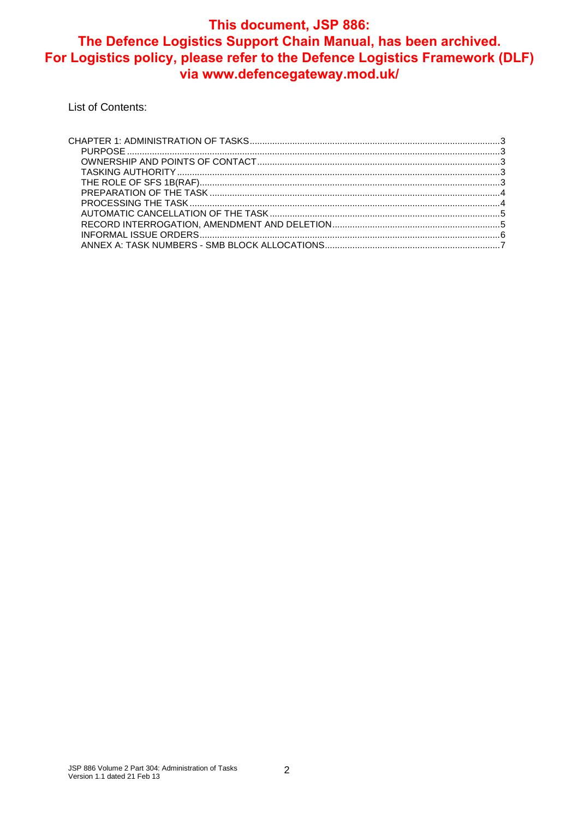List of Contents: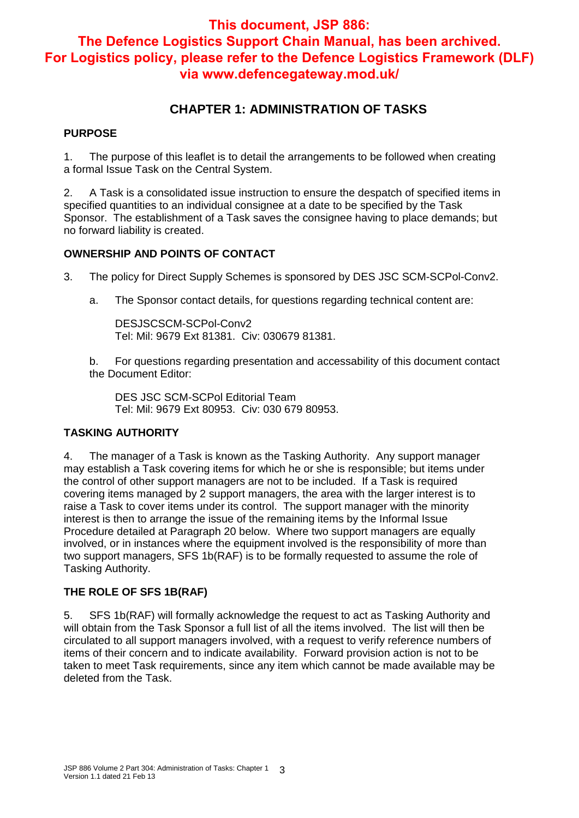## **CHAPTER 1: ADMINISTRATION OF TASKS**

#### **PURPOSE**

1. The purpose of this leaflet is to detail the arrangements to be followed when creating a formal Issue Task on the Central System.

2. A Task is a consolidated issue instruction to ensure the despatch of specified items in specified quantities to an individual consignee at a date to be specified by the Task Sponsor. The establishment of a Task saves the consignee having to place demands; but no forward liability is created.

#### **OWNERSHIP AND POINTS OF CONTACT**

3. The policy for Direct Supply Schemes is sponsored by DES JSC SCM-SCPol-Conv2.

a. The Sponsor contact details, for questions regarding technical content are:

DESJSCSCM-SCPol-Conv2 Tel: Mil: 9679 Ext 81381. Civ: 030679 81381.

b. For questions regarding presentation and accessability of this document contact the Document Editor:

DES JSC SCM-SCPol Editorial Team Tel: Mil: 9679 Ext 80953. Civ: 030 679 80953.

#### **TASKING AUTHORITY**

4. The manager of a Task is known as the Tasking Authority. Any support manager may establish a Task covering items for which he or she is responsible; but items under the control of other support managers are not to be included. If a Task is required covering items managed by 2 support managers, the area with the larger interest is to raise a Task to cover items under its control. The support manager with the minority interest is then to arrange the issue of the remaining items by the Informal Issue Procedure detailed at Paragraph 20 below. Where two support managers are equally involved, or in instances where the equipment involved is the responsibility of more than two support managers, SFS 1b(RAF) is to be formally requested to assume the role of Tasking Authority.

#### **THE ROLE OF SFS 1B(RAF)**

5. SFS 1b(RAF) will formally acknowledge the request to act as Tasking Authority and will obtain from the Task Sponsor a full list of all the items involved. The list will then be circulated to all support managers involved, with a request to verify reference numbers of items of their concern and to indicate availability. Forward provision action is not to be taken to meet Task requirements, since any item which cannot be made available may be deleted from the Task.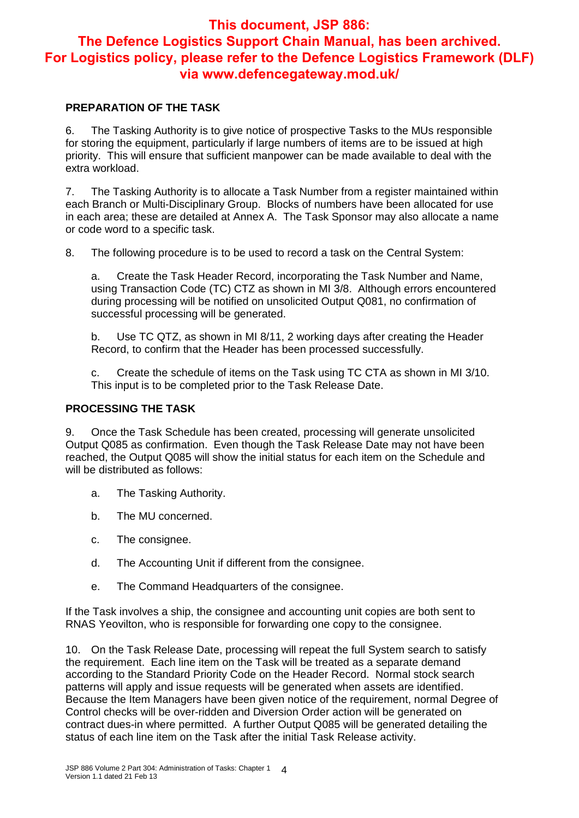#### **PREPARATION OF THE TASK**

6. The Tasking Authority is to give notice of prospective Tasks to the MUs responsible for storing the equipment, particularly if large numbers of items are to be issued at high priority. This will ensure that sufficient manpower can be made available to deal with the extra workload.

7. The Tasking Authority is to allocate a Task Number from a register maintained within each Branch or Multi-Disciplinary Group. Blocks of numbers have been allocated for use in each area; these are detailed at Annex A. The Task Sponsor may also allocate a name or code word to a specific task.

8. The following procedure is to be used to record a task on the Central System:

a. Create the Task Header Record, incorporating the Task Number and Name, using Transaction Code (TC) CTZ as shown in MI 3/8. Although errors encountered during processing will be notified on unsolicited Output Q081, no confirmation of successful processing will be generated.

b. Use TC QTZ, as shown in MI 8/11, 2 working days after creating the Header Record, to confirm that the Header has been processed successfully.

c. Create the schedule of items on the Task using TC CTA as shown in MI 3/10. This input is to be completed prior to the Task Release Date.

#### **PROCESSING THE TASK**

9. Once the Task Schedule has been created, processing will generate unsolicited Output Q085 as confirmation. Even though the Task Release Date may not have been reached, the Output Q085 will show the initial status for each item on the Schedule and will be distributed as follows:

- a. The Tasking Authority.
- b. The MU concerned.
- c. The consignee.
- d. The Accounting Unit if different from the consignee.
- e. The Command Headquarters of the consignee.

If the Task involves a ship, the consignee and accounting unit copies are both sent to RNAS Yeovilton, who is responsible for forwarding one copy to the consignee.

10. On the Task Release Date, processing will repeat the full System search to satisfy the requirement. Each line item on the Task will be treated as a separate demand according to the Standard Priority Code on the Header Record. Normal stock search patterns will apply and issue requests will be generated when assets are identified. Because the Item Managers have been given notice of the requirement, normal Degree of Control checks will be over-ridden and Diversion Order action will be generated on contract dues-in where permitted. A further Output Q085 will be generated detailing the status of each line item on the Task after the initial Task Release activity.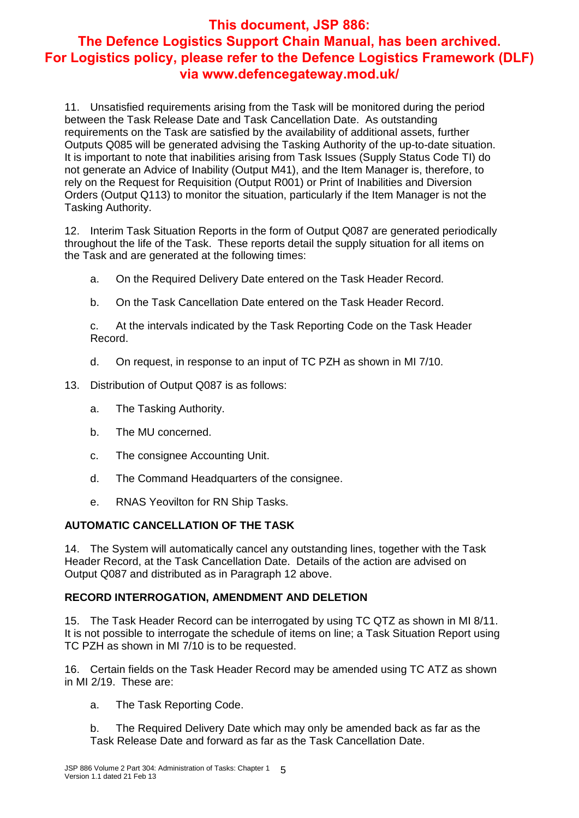11. Unsatisfied requirements arising from the Task will be monitored during the period between the Task Release Date and Task Cancellation Date. As outstanding requirements on the Task are satisfied by the availability of additional assets, further Outputs Q085 will be generated advising the Tasking Authority of the up-to-date situation. It is important to note that inabilities arising from Task Issues (Supply Status Code TI) do not generate an Advice of Inability (Output M41), and the Item Manager is, therefore, to rely on the Request for Requisition (Output R001) or Print of Inabilities and Diversion Orders (Output Q113) to monitor the situation, particularly if the Item Manager is not the Tasking Authority.

12. Interim Task Situation Reports in the form of Output Q087 are generated periodically throughout the life of the Task. These reports detail the supply situation for all items on the Task and are generated at the following times:

- a. On the Required Delivery Date entered on the Task Header Record.
- b. On the Task Cancellation Date entered on the Task Header Record.

c. At the intervals indicated by the Task Reporting Code on the Task Header Record.

- d. On request, in response to an input of TC PZH as shown in MI 7/10.
- 13. Distribution of Output Q087 is as follows:
	- a. The Tasking Authority.
	- b. The MU concerned.
	- c. The consignee Accounting Unit.
	- d. The Command Headquarters of the consignee.
	- e. RNAS Yeovilton for RN Ship Tasks.

#### **AUTOMATIC CANCELLATION OF THE TASK**

14. The System will automatically cancel any outstanding lines, together with the Task Header Record, at the Task Cancellation Date. Details of the action are advised on Output Q087 and distributed as in Paragraph 12 above.

#### **RECORD INTERROGATION, AMENDMENT AND DELETION**

15. The Task Header Record can be interrogated by using TC QTZ as shown in MI 8/11. It is not possible to interrogate the schedule of items on line; a Task Situation Report using TC PZH as shown in MI 7/10 is to be requested.

16. Certain fields on the Task Header Record may be amended using TC ATZ as shown in MI 2/19. These are:

a. The Task Reporting Code.

b. The Required Delivery Date which may only be amended back as far as the Task Release Date and forward as far as the Task Cancellation Date.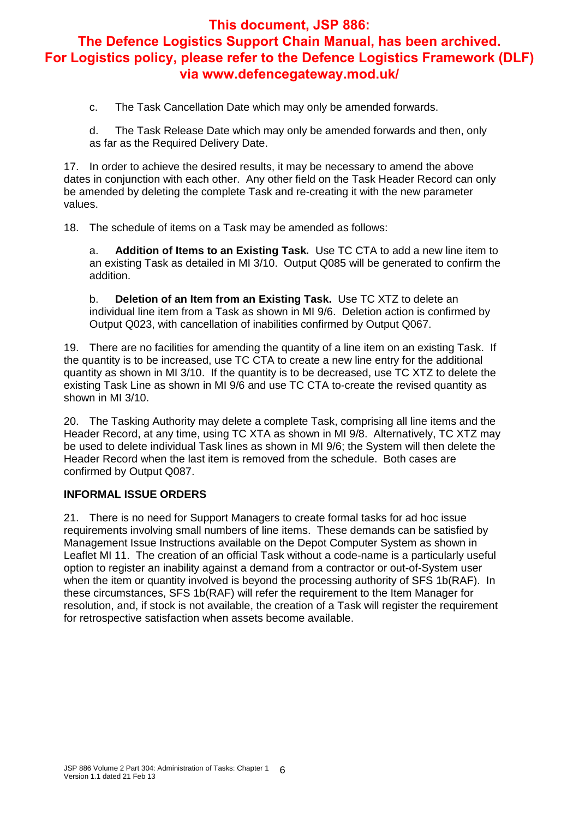c. The Task Cancellation Date which may only be amended forwards.

d. The Task Release Date which may only be amended forwards and then, only as far as the Required Delivery Date.

17. In order to achieve the desired results, it may be necessary to amend the above dates in conjunction with each other. Any other field on the Task Header Record can only be amended by deleting the complete Task and re-creating it with the new parameter values.

18. The schedule of items on a Task may be amended as follows:

a. **Addition of Items to an Existing Task***.* Use TC CTA to add a new line item to an existing Task as detailed in MI 3/10. Output Q085 will be generated to confirm the addition.

b. **Deletion of an Item from an Existing Task.** Use TC XTZ to delete an individual line item from a Task as shown in MI 9/6. Deletion action is confirmed by Output Q023, with cancellation of inabilities confirmed by Output Q067.

19. There are no facilities for amending the quantity of a line item on an existing Task. If the quantity is to be increased, use TC CTA to create a new line entry for the additional quantity as shown in MI 3/10. If the quantity is to be decreased, use TC XTZ to delete the existing Task Line as shown in MI 9/6 and use TC CTA to-create the revised quantity as shown in MI 3/10.

20. The Tasking Authority may delete a complete Task, comprising all line items and the Header Record, at any time, using TC XTA as shown in MI 9/8. Alternatively, TC XTZ may be used to delete individual Task lines as shown in MI 9/6; the System will then delete the Header Record when the last item is removed from the schedule. Both cases are confirmed by Output Q087.

#### **INFORMAL ISSUE ORDERS**

21. There is no need for Support Managers to create formal tasks for ad hoc issue requirements involving small numbers of line items. These demands can be satisfied by Management Issue Instructions available on the Depot Computer System as shown in Leaflet MI 11. The creation of an official Task without a code-name is a particularly useful option to register an inability against a demand from a contractor or out-of-System user when the item or quantity involved is beyond the processing authority of SFS 1b(RAF). In these circumstances, SFS 1b(RAF) will refer the requirement to the Item Manager for resolution, and, if stock is not available, the creation of a Task will register the requirement for retrospective satisfaction when assets become available.